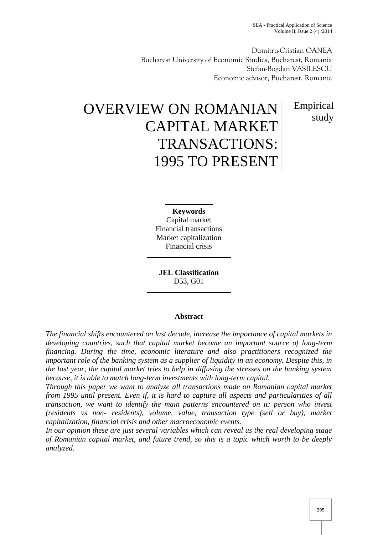SEA - Practical Application of Science Volume II, Issue 2 (4) /2014

Dumitru-Cristian OANEA Bucharest University of Economic Studies, Bucharest, Romania Stefan-Bogdan VASILESCU Economic advisor, Bucharest, Romania

> Empirical study

# OVERVIEW ON ROMANIAN CAPITAL MARKET TRANSACTIONS: 1995 TO PRESENT

**Keywords** Capital market Financial transactions Market capitalization Financial crisis

**JEL Classification** D53, G01

## **Abstract**

*The financial shifts encountered on last decade, increase the importance of capital markets in developing countries, such that capital market become an important source of long-term financing. During the time, economic literature and also practitioners recognized the important role of the banking system as a supplier of liquidity in an economy. Despite this, in the last year, the capital market tries to help in diffusing the stresses on the banking system because, it is able to match long-term investments with long-term capital.*

*Through this paper we want to analyze all transactions made on Romanian capital market from 1995 until present. Even if, it is hard to capture all aspects and particularities of all transaction, we want to identify the main patterns encountered on it: person who invest (residents vs non- residents), volume, value, transaction type (sell or buy), market capitalization, financial crisis and other macroeconomic events.*

*In our opinion these are just several variables which can reveal us the real developing stage of Romanian capital market, and future trend, so this is a topic which worth to be deeply analyzed.*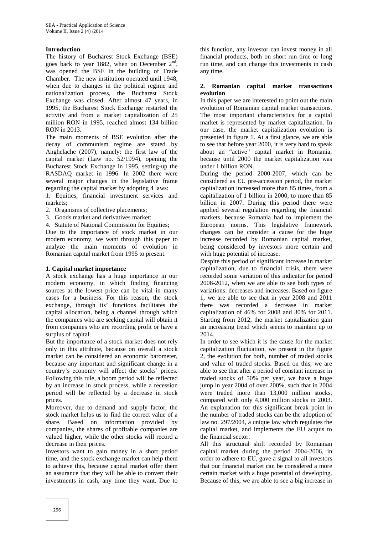## **Introduction**

The history of Bucharest Stock Exchange (BSE) goes back to year 1882, when on December  $2<sup>nd</sup>$ , was opened the BSE in the building of Trade Chamber. The new institution operated until 1948, when due to changes in the political regime and nationalization process, the Bucharest Stock Exchange was closed. After almost 47 years, in 1995, the Bucharest Stock Exchange restarted the activity and from a market capitalization of 25 million RON in 1995, reached almost 134 billion RON in 2013.

The main moments of BSE evolution after the decay of communism regime are stated by Anghelache (2007), namely: the first law of the capital market (Law no. 52/1994), opening the Bucharest Stock Exchange in 1995, setting-up the RASDAQ market in 1996. In 2002 there were several major changes in the legislative frame regarding the capital market by adopting 4 laws:

1. Equities, financial investment services and markets;

- 2. Organisms of collective placements;
- 3. Goods market and derivatives market;
- 4. Statute of National Commission for Equities;

Due to the importance of stock market in our modern economy, we want through this paper to analyze the main moments of evolution in Romanian capital market from 1995 to present.

#### **1. Capital market importance**

A stock exchange has a huge importance in our modern economy, in which finding financing sources at the lowest price can be vital in many cases for a business. For this reason, the stock exchange, through its' functions facilitates the capital allocation, being a channel through which the companies who are seeking capital will obtain it from companies who are recording profit or have a surplus of capital.

But the importance of a stock market does not rely only in this attribute, because on overall a stock market can be considered an economic barometer, because any important and significant change in a country's economy will affect the stocks' prices. Following this rule, a boom period will be reflected by an increase in stock process, while a recession period will be reflected by a decrease in stock prices.

Moreover, due to demand and supply factor, the stock market helps us to find the correct value of a share. Based on information provided by companies, the shares of profitable companies are valued higher, while the other stocks will record a decrease in their prices.

Investors want to gain money in a short period time, and the stock exchange market can help them to achieve this, because capital market offer them an assurance that they will be able to convert their investments in cash, any time they want. Due to

this function, any investor can invest money in all financial products, both on short run time or long run time, and can change this investments in cash any time.

#### **2. Romanian capital market transactions evolution**

In this paper we are interested to point out the main evolution of Romanian capital market transactions. The most important characteristics for a capital market is represented by market capitalization. In our case, the market capitalization evolution is presented in figure 1. At a first glance, we are able to see that before year 2000, it is very hard to speak about an "active" capital market in Romania, because until 2000 the market capitalization was under 1 billion RON.

During the period 2000-2007, which can be considered as EU pre-accession period, the market capitalization increased more than 85 times, from a capitalization of 1 billion in 2000, to more than 85 billion in 2007. During this period there were applied several regulation regarding the financial markets, because Romania had to implement the European norms. This legislative framework changes can be consider a cause for the huge increase recorded by Romanian capital market, being considered by investors more certain and with huge potential of increase.

Despite this period of significant increase in market capitalization, due to financial crisis, there were recorded some variation of this indicator for period 2008-2012, when we are able to see both types of variations: decreases and increases. Based on figure 1, we are able to see that in year 2008 and 2011 there was recorded a decrease in market capitalization of 46% for 2008 and 30% for 2011. Starting from 2012, the market capitalization gain an increasing trend which seems to maintain up to 2014.

In order to see which it is the cause for the market capitalization fluctuation, we present in the figure 2, the evolution for both, number of traded stocks and value of traded stocks. Based on this, we are able to see that after a period of constant increase in traded stocks of 50% per year, we have a huge jump in year 2004 of over 200%, such that in 2004 were traded more than 13,000 million stocks, compared with only 4,000 million stocks in 2003. An explanation for this significant break point in the number of traded stocks can be the adoption of law no. 297/2004, a unique law which regulates the capital market, and implements the EU acquis to the financial sector.

All this structural shift recorded by Romanian capital market during the period 2004-2006, in order to adhere to EU, gave a signal to all investors that our financial market can be considered a more certain market with a huge potential of developing. Because of this, we are able to see a big increase in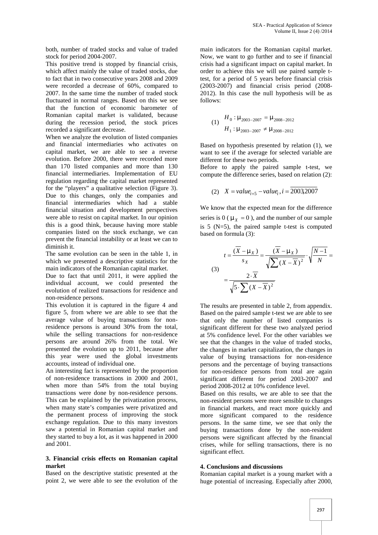both, number of traded stocks and value of traded stock for period 2004-2007.

This positive trend is stopped by financial crisis, which affect mainly the value of traded stocks, due to fact that in two consecutive years 2008 and 2009 were recorded a decrease of 60%, compared to 2007. In the same time the number of traded stock fluctuated in normal ranges. Based on this we see that the function of economic barometer of Romanian capital market is validated, because during the recession period, the stock prices recorded a significant decrease.

When we analyze the evolution of listed companies and financial intermediaries who activates on capital market, we are able to see a reverse evolution. Before 2000, there were recorded more than 170 listed companies and more than 130 financial intermediaries. Implementation of EU regulation regarding the capital market represented for the "players" a qualitative selection (Figure 3). Due to this changes, only the companies and financial intermediaries which had a stable financial situation and development perspectives were able to resist on capital market. In our opinion this is a good think, because having more stable companies listed on the stock exchange, we can prevent the financial instability or at least we can to diminish it.

The same evolution can be seen in the table 1, in which we presented a descriptive statistics for the main indicators of the Romanian capital market.

Due to fact that until 2011, it were applied the individual account, we could presented the evolution of realized transactions for residence and non-residence persons.

This evolution it is captured in the figure 4 and figure 5, from where we are able to see that the average value of buying transactions for nonresidence persons is around 30% from the total, while the selling transactions for non-residence persons are around 26% from the total. We presented the evolution up to 2011, because after this year were used the global investments accounts, instead of individual one.

An interesting fact is represented by the proportion of non-residence transactions in 2000 and 2001, when more than 54% from the total buying transactions were done by non-residence persons. This can be explained by the privatization process, when many state's companies were privatized and the permanent process of improving the stock exchange regulation. Due to this many investors saw a potential in Romanian capital market and they started to buy a lot, as it was happened in 2000 and 2001.

### **3. Financial crisis effects on Romanian capital market**

Based on the descriptive statistic presented at the point 2, we were able to see the evolution of the

main indicators for the Romanian capital market. Now, we want to go further and to see if financial crisis had a significant impact on capital market. In order to achieve this we will use paired sample ttest, for a period of 5 years before financial crisis (2003-2007) and financial crisis period (2008- 2012). In this case the null hypothesis will be as follows:

$$
(1) \quad H_0: \sim 2003 - 2007 = \sim 2008 - 2012
$$
\n
$$
H_1: \sim 2003 - 2007 \neq \sim 2008 - 2012
$$

Based on hypothesis presented by relation (1), we want to see if the average for selected variable are different for these two periods.

Before to apply the paired sample t-test, we compute the difference series, based on relation (2):

(2) 
$$
X = value_{i+5} - value_i
$$
,  $i = 20032007$ 

We know that the expected mean for the difference series is  $0 \left( \alpha \right) = x = 0$ , and the number of our sample is  $5$  (N=5), the paired sample t-test is computed based on formula (3):

$$
t = \frac{(\overline{X} - \overline{x})}{s_X} = \frac{(\overline{X} - \overline{x})}{\sqrt{\sum (X - \overline{X})^2}} \cdot \sqrt{\frac{N - 1}{N}} =
$$
\n
$$
= \frac{2 \cdot \overline{X}}{\sqrt{5 \cdot \sum (X - \overline{X})^2}}
$$

The results are presented in table 2, from appendix. Based on the paired sample t-test we are able to see that only the number of listed companies is significant different for these two analyzed period at 5% confidence level. For the other variables we see that the changes in the value of traded stocks, the changes in market capitalization, the changes in value of buying transactions for non-residence persons and the percentage of buying transactions for non-residence persons from total are again significant different for period 2003-2007 and period 2008-2012 at 10% confidence level.

Based on this results, we are able to see that the non-resident persons were more sensible to changes in financial markets, and react more quickly and more significant compared to the residence persons. In the same time, we see that only the buying transactions done by the non-resident persons were significant affected by the financial crises, while for selling transactions, there is no significant effect.

## **4. Conclusions and discussions**

Romanian capital market is a young market with a huge potential of increasing. Especially after 2000,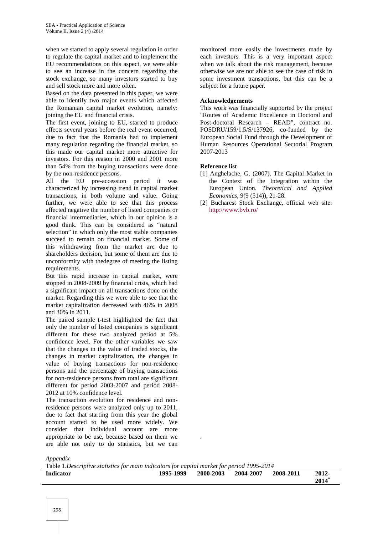when we started to apply several regulation in order to regulate the capital market and to implement the EU recommendations on this aspect, we were able to see an increase in the concern regarding the stock exchange, so many investors started to buy and sell stock more and more often.

Based on the data presented in this paper, we were able to identify two major events which affected the Romanian capital market evolution, namely: joining the EU and financial crisis.

The first event, joining to EU, started to produce effects several years before the real event occurred, due to fact that the Romania had to implement many regulation regarding the financial market, so this made our capital market more attractive for investors. For this reason in 2000 and 2001 more than 54% from the buying transactions were done by the non-residence persons.

All the EU pre-accession period it was characterized by increasing trend in capital market transactions, in both volume and value. Going further, we were able to see that this process affected negative the number of listed companies or financial intermediaries, which in our opinion is a good think. This can be considered as "natural selection" in which only the most stable companies succeed to remain on financial market. Some of this withdrawing from the market are due to shareholders decision, but some of them are due to unconformity with thedegree of meeting the listing requirements.

But this rapid increase in capital market, were stopped in 2008-2009 by financial crisis, which had a significant impact on all transactions done on the market. Regarding this we were able to see that the market capitalization decreased with 46% in 2008 and 30% in 2011.

The paired sample t-test highlighted the fact that only the number of listed companies is significant different for these two analyzed period at 5% confidence level. For the other variables we saw that the changes in the value of traded stocks, the changes in market capitalization, the changes in value of buying transactions for non-residence persons and the percentage of buying transactions for non-residence persons from total are significant different for period 2003-2007 and period 2008- 2012 at 10% confidence level.

The transaction evolution for residence and nonresidence persons were analyzed only up to 2011, due to fact that starting from this year the global account started to be used more widely. We consider that individual account are more appropriate to be use, because based on them we are able not only to do statistics, but we can

monitored more easily the investments made by each investors. This is a very important aspect when we talk about the risk management, because otherwise we are not able to see the case of risk in some investment transactions, but this can be a subject for a future paper.

## **Acknowledgements**

This work was financially supported by the project "Routes of Academic Excellence in Doctoral and Post-doctoral Research – READ", contract no. POSDRU/159/1.5/S/137926, co-funded by the European Social Fund through the Development of Human Resources Operational Sectorial Program 2007-2013

## **Reference list**

- [1] Anghelache, G. (2007). The Capital Market in the Context of the Integration within the European Union. *Theoretical and Applied Economics*, 9(9 (514)), 21-28.
- [2] Bucharest Stock Exchange, official web site: http://www.bvb.ro/

*Appendix*

Table 1.*Descriptive statistics for main indicators for capital market for period 1995-2014*

| 1995-1999 | 2000-2003 | 2004-2007 | 2008-2011 | 2012- |
|-----------|-----------|-----------|-----------|-------|
|           |           |           |           | 2014  |
|           |           |           |           |       |

.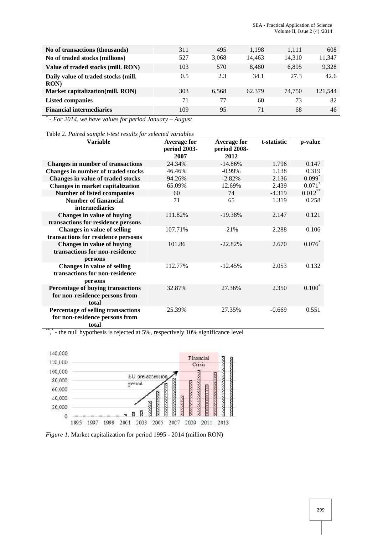| No of transactions (thousands)              | 311 | 495   | 1,198  | 1,111  | 608     |
|---------------------------------------------|-----|-------|--------|--------|---------|
| No of traded stocks (millions)              | 527 | 3.068 | 14,463 | 14,310 | 11,347  |
| Value of traded stocks (mill. RON)          | 103 | 570   | 8,480  | 6,895  | 9,328   |
| Daily value of traded stocks (mill.<br>RON) | 0.5 | 2.3   | 34.1   | 27.3   | 42.6    |
| Market capitalization(mill. RON)            | 303 | 6.568 | 62.379 | 74,750 | 121,544 |
| <b>Listed companies</b>                     | 71  | 77    | 60     | 73     | 82      |
| <b>Financial intermediaries</b>             | 109 | 95    | 71     | 68     | 46      |

*\* - For 2014, we have values for period January – August*

Table 2. *Paired sample t-test results for selected variables*

| <b>Variable</b>                                                                 | <b>Average for</b><br>period 2003-<br>2007 | <b>Average for</b><br>period 2008-<br>2012 | t-statistic | p-value              |
|---------------------------------------------------------------------------------|--------------------------------------------|--------------------------------------------|-------------|----------------------|
| <b>Changes in number of transactions</b>                                        | 24.34%                                     | $-14.86%$                                  | 1.796       | 0.147                |
| <b>Changes in number of traded stocks</b>                                       | 46.46%                                     | $-0.99%$                                   | 1.138       | 0.319                |
| Changes in value of traded stocks                                               | 94.26%                                     | $-2.82%$                                   | 2.136       | $0.099$ <sup>*</sup> |
| <b>Changes in market capitalization</b>                                         | 65.09%                                     | 12.69%                                     | 2.439       | $0.071$ *            |
| <b>Number of listed ccompanies</b>                                              | 60                                         | 74                                         | $-4.319$    | $0.012***$           |
| <b>Number of fianancial</b><br>intermediaries                                   | 71                                         | 65                                         | 1.319       | 0.258                |
| Changes in value of buying<br>transactions for residence persons                | 111.82%                                    | $-19.38%$                                  | 2.147       | 0.121                |
| Changes in value of selling<br>transactions for residence persosns              | 107.71%                                    | $-21%$                                     | 2.288       | 0.106                |
| Changes in value of buying<br>transactions for non-residence<br>persons         | 101.86                                     | $-22.82%$                                  | 2.670       | $0.076*$             |
| <b>Changes in value of selling</b><br>transactions for non-residence<br>persons | 112.77%                                    | $-12.45%$                                  | 2.053       | 0.132                |
| Percentage of buying transactions<br>for non-residence persons from<br>total    | 32.87%                                     | 27.36%                                     | 2.350       | $0.100^{\degree}$    |
| Percentage of selling transactions<br>for non-residence persons from<br>total   | 25.39%                                     | 27.35%                                     | $-0.669$    | 0.551                |

\*\*\*,\* - the null hypothesis is rejected at 5%, respectively 10% significance level



*Figure 1.* Market capitalization for period 1995 - 2014 (million RON)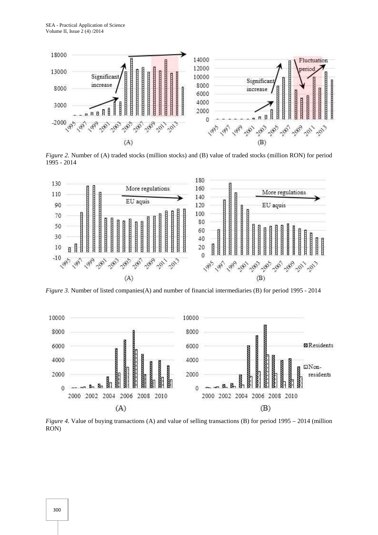

*Figure 2.* Number of (A) traded stocks (million stocks) and (B) value of traded stocks (million RON) for period 1995 - 2014



*Figure 3.* Number of listed companies(A) and number of financial intermediaries (B) for period 1995 - 2014



*Figure 4.* Value of buying transactions (A) and value of selling transactions (B) for period 1995 – 2014 (million RON)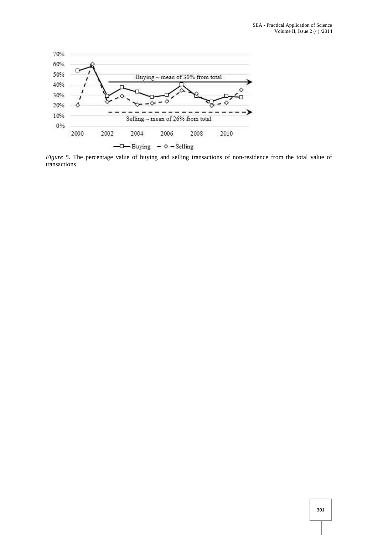

*Figure 5.* The percentage value of buying and selling transactions of non-residence from the total value of transactions